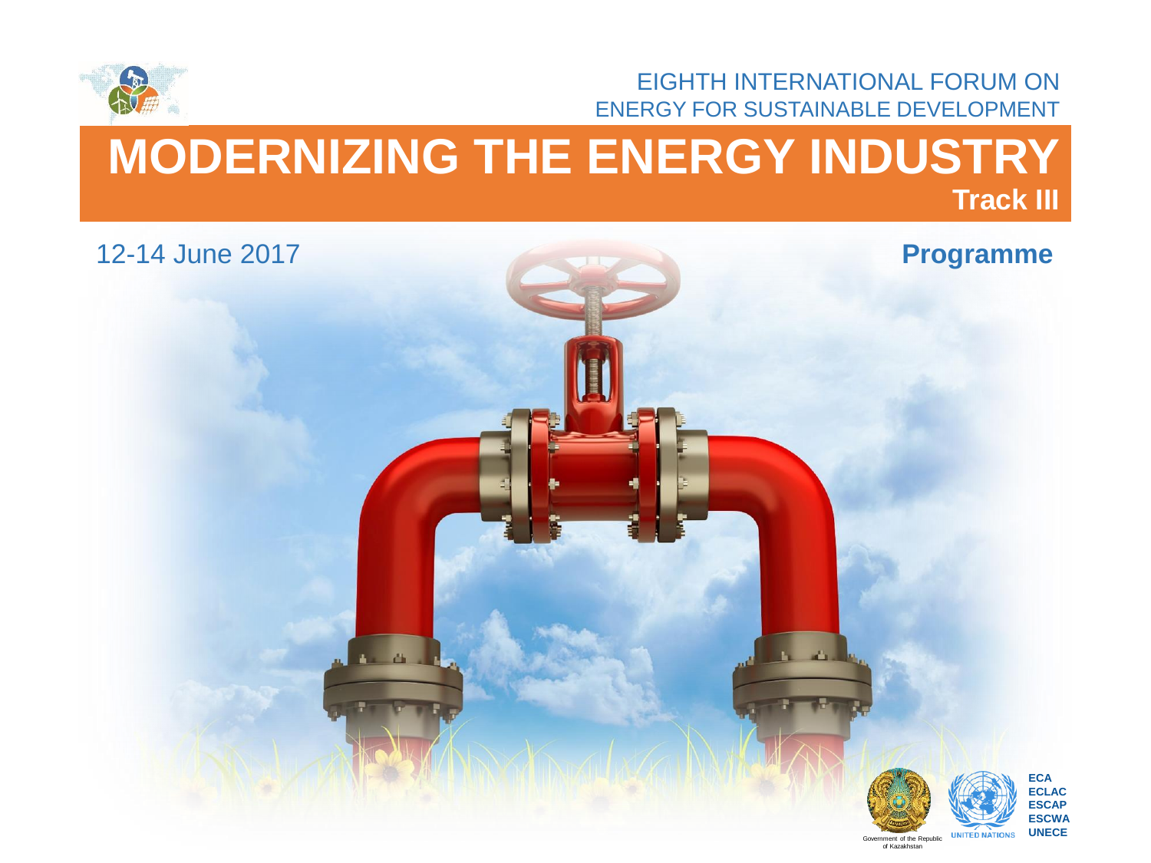

EIGHTH INTERNATIONAL FORUM ON ENERGY FOR SUSTAINABLE DEVELOPMENT

of Kazakhstan

# **MODERNIZING THE ENERGY INDUSTRY Track III**

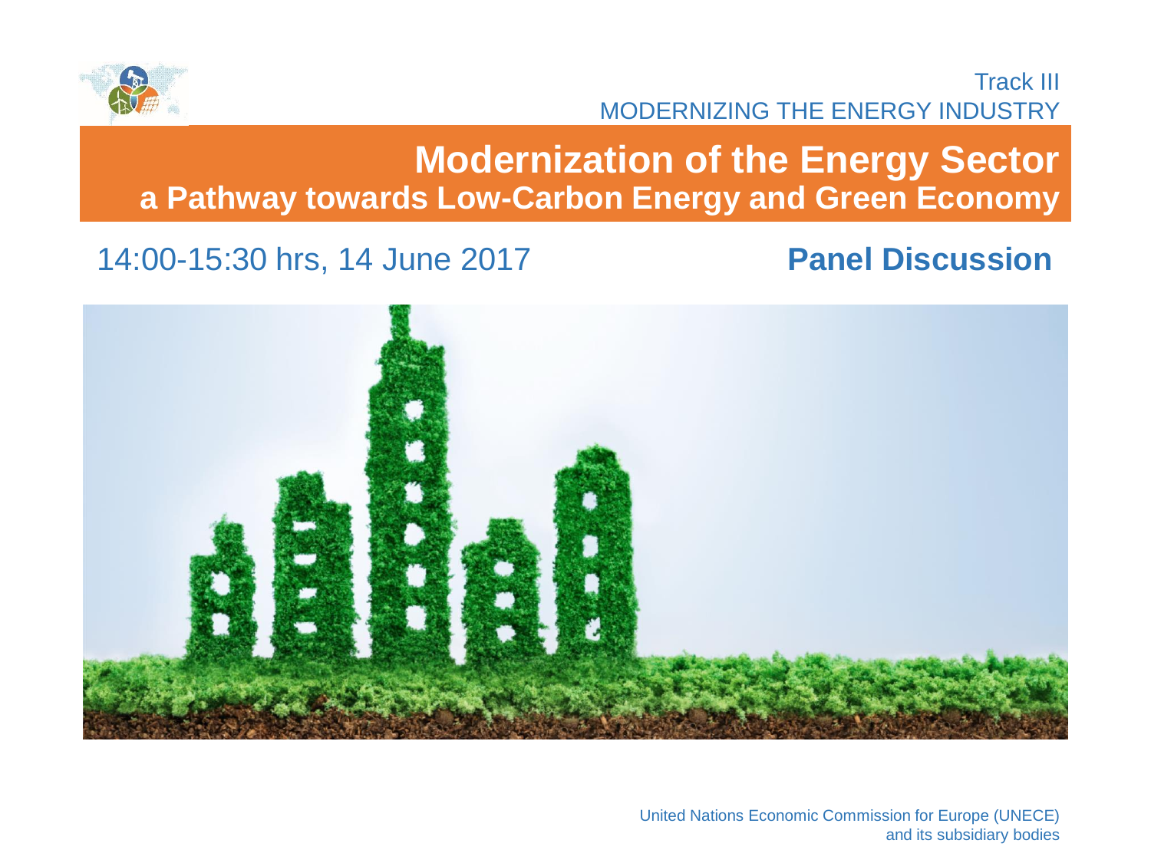

#### 14:00-15:30 hrs, 14 June 2017 **Panel Discussion**



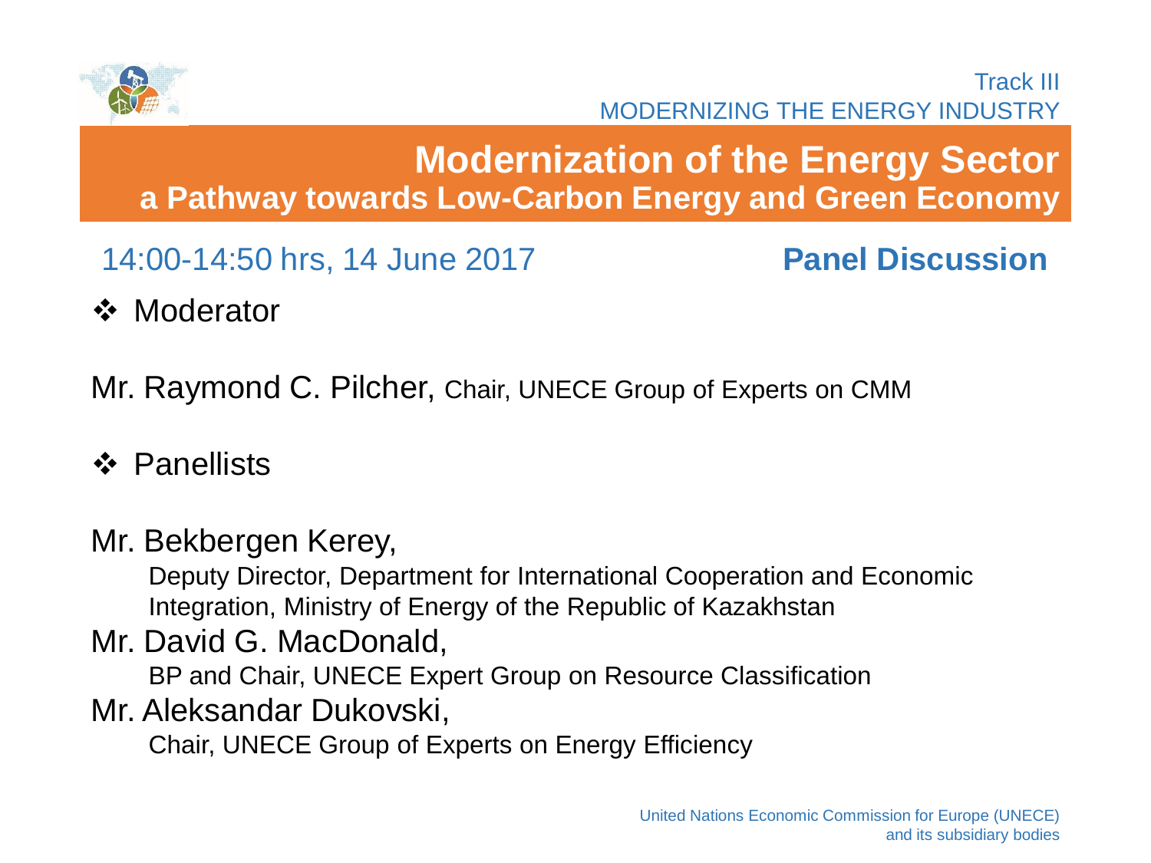

# **Modernization of the Energy Sector a Pathway towards Low-Carbon Energy and Green Economy**

14:00-14:50 hrs, 14 June 2017 **Panel Discussion**

❖ Moderator

Mr. Raymond C. Pilcher, Chair, UNECE Group of Experts on CMM

- **❖ Panellists**
- Mr. Bekbergen Kerey,

Deputy Director, Department for International Cooperation and Economic Integration, Ministry of Energy of the Republic of Kazakhstan

Mr. David G. MacDonald,

BP and Chair, UNECE Expert Group on Resource Classification

Mr. Aleksandar Dukovski,

Chair, UNECE Group of Experts on Energy Efficiency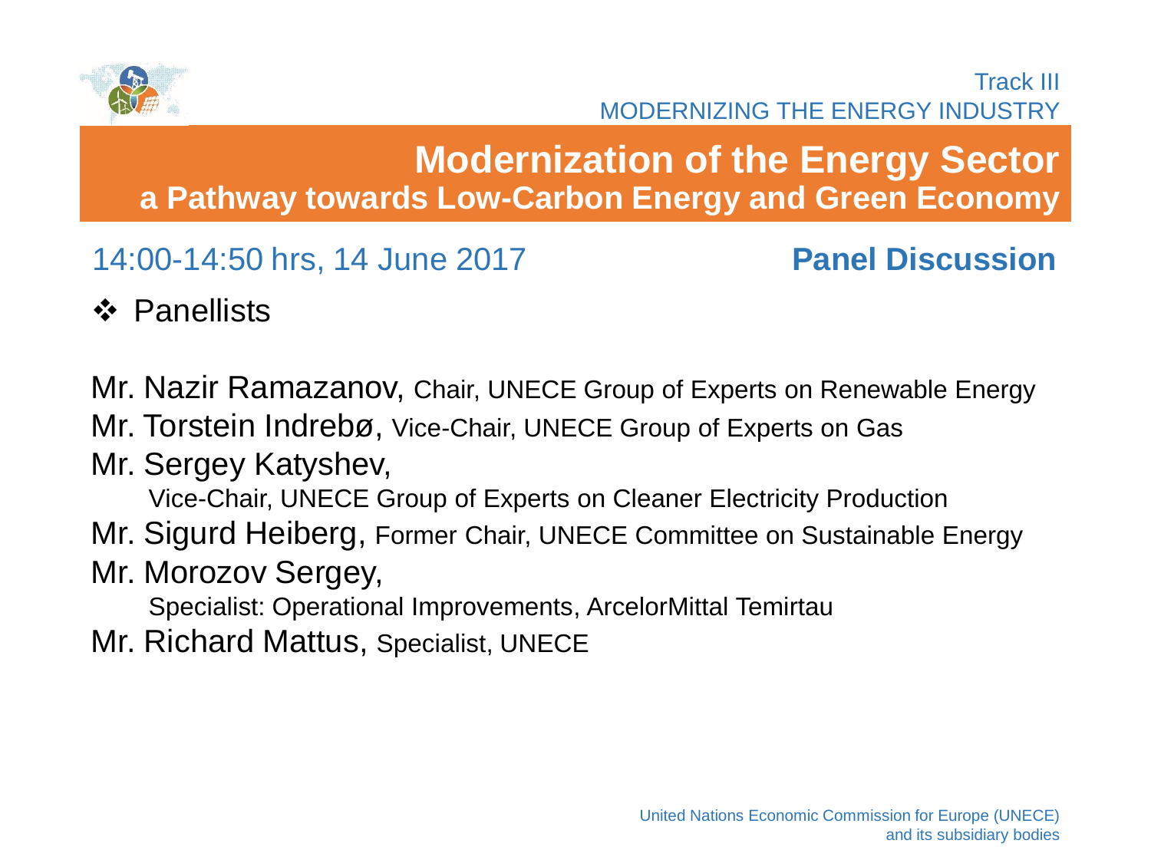

## **Modernization of the Energy Sector a Pathway towards Low-Carbon Energy and Green Economy**

14:00-14:50 hrs, 14 June 2017 **Panel Discussion**

**❖ Panellists** 

Mr. Nazir Ramazanov, Chair, UNECE Group of Experts on Renewable Energy

Mr. Torstein Indrebø, Vice-Chair, UNECE Group of Experts on Gas

Mr. Sergey Katyshev,

Vice-Chair, UNECE Group of Experts on Cleaner Electricity Production

Mr. Sigurd Heiberg, Former Chair, UNECE Committee on Sustainable Energy

Mr. Morozov Sergey,

Specialist: Operational Improvements, ArcelorMittal Temirtau

Mr. Richard Mattus, Specialist, UNECE